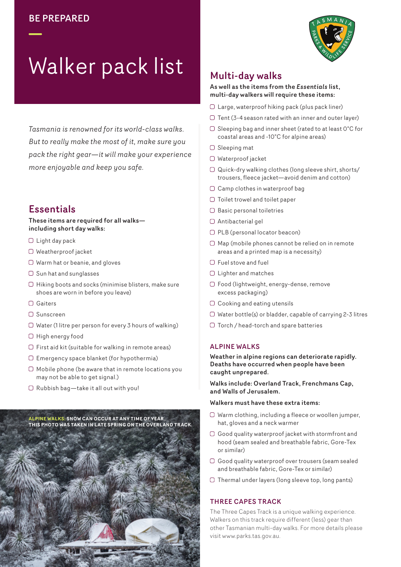

# Walker pack list

*Tasmania is renowned for its world-class walks. But to really make the most of it, make sure you pack the right gear—it will make your experience more enjoyable and keep you safe.* 

# **Essentials**

#### These items are required for all walks including short day walks:

- $\Box$  Light day pack
- O Weatherproof jacket
- Warm hat or beanie, and gloves
- $\Box$  Sun hat and sunglasses
- $\Box$  Hiking boots and socks (minimise blisters, make sure shoes are worn in before you leave)
- Gaiters
- Sunscreen
- $\Box$  Water (1 litre per person for every 3 hours of walking)
- $\Box$  High energy food
- $\Box$  First aid kit (suitable for walking in remote areas)
- $\Box$  Emergency space blanket (for hypothermia)
- $\Box$  Mobile phone (be aware that in remote locations you may not be able to get signal.)
- $\Box$  Rubbish bag-take it all out with you!

**ALPINE WALKS: SNOW CAN OCCUR AT ANY TIME OF YEAR. THIS PHOTO WAS TAKEN IN LATE SPRING ON THE OVERLAND TRACK.**



## Multi-day walks

#### As well as the items from the *Essentials* list, multi-day walkers will require these items:

- Large, waterproof hiking pack (plus pack liner)
- $\Box$  Tent (3-4 season rated with an inner and outer layer)
- $\Box$  Sleeping bag and inner sheet (rated to at least  $0^{\circ}$ C for coastal areas and -10°C for alpine areas)
- $\Box$  Sleeping mat
- Waterproof jacket
- $\Box$  Quick-dry walking clothes (long sleeve shirt, shorts/ trousers, fleece jacket—avoid denim and cotton)
- $\Box$  Camp clothes in waterproof bag
- $\Box$  Toilet trowel and toilet paper
- $\Box$  Basic personal toiletries
- Antibacterial gel
- O PLB (personal locator beacon)
- $\Box$  Map (mobile phones cannot be relied on in remote areas and a printed map is a necessity)
- Fuel stove and fuel
- □ Lighter and matches
- Food (lightweight, energy-dense, remove excess packaging)
- $\Box$  Cooking and eating utensils
- $\Box$  Water bottle(s) or bladder, capable of carrying 2-3 litres
- Torch / head-torch and spare batteries

## ALPINE WALKS

Weather in alpine regions can deteriorate rapidly. Deaths have occurred when people have been caught unprepared.

Walks include: Overland Track, Frenchmans Cap, and Walls of Jerusalem.

### Walkers must have these extra items:

- Warm clothing, including a fleece or woollen jumper, hat, gloves and a neck warmer
- $\Box$  Good quality waterproof jacket with stormfront and hood (seam sealed and breathable fabric, Gore-Tex or similar)
- Good quality waterproof over trousers (seam sealed and breathable fabric, Gore-Tex or similar)
- $\Box$  Thermal under layers (long sleeve top, long pants)

## THREE CAPES TRACK

The Three Capes Track is a unique walking experience. Walkers on this track require different (less) gear than other Tasmanian multi-day walks. For more details please visit www.parks.tas.gov.au.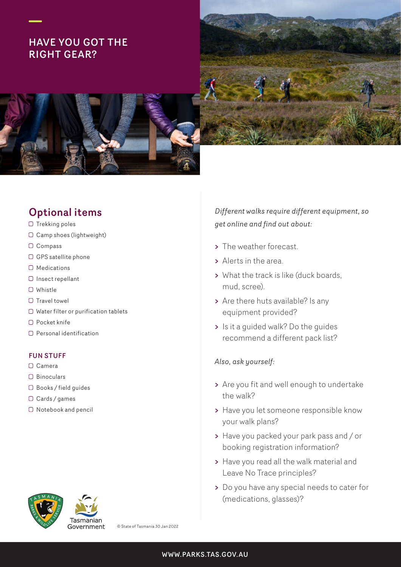# HAVE YOU GOT THE RIGHT GEAR?



# Optional items

- $\Box$  Trekking poles
- O Camp shoes (lightweight)
- O Compass
- $\Box$  GPS satellite phone
- $\Box$  Medications
- $\cap$  Insect repellant
- Whistle
- $\Box$  Travel towel
- O Water filter or purification tablets
- O Pocket knife
- $\Box$  Personal identification

## FUN STUFF

- O Camera
- O Binoculars
- Books / field guides
- O Cards / games
- $\Box$  Notebook and pencil



Government

© State of Tasmania 30 Jan 2022

*Different walks require different equipment, so get online and find out about:*

- > The weather forecast.
- > Alerts in the area.
- > What the track is like (duck boards, mud, scree).
- > Are there huts available? Is any equipment provided?
- > Is it a guided walk? Do the guides recommend a different pack list?

## *Also, ask yourself:*

- > Are you fit and well enough to undertake the walk?
- > Have you let someone responsible know your walk plans?
- > Have you packed your park pass and / or booking registration information?
- > Have you read all the walk material and Leave No Trace principles?
- > Do you have any special needs to cater for (medications, glasses)?